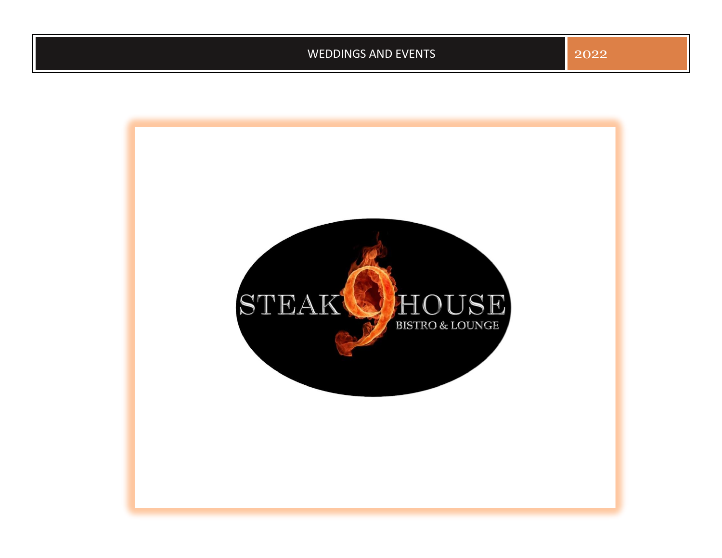WEDDINGS AND EVENTS 2022

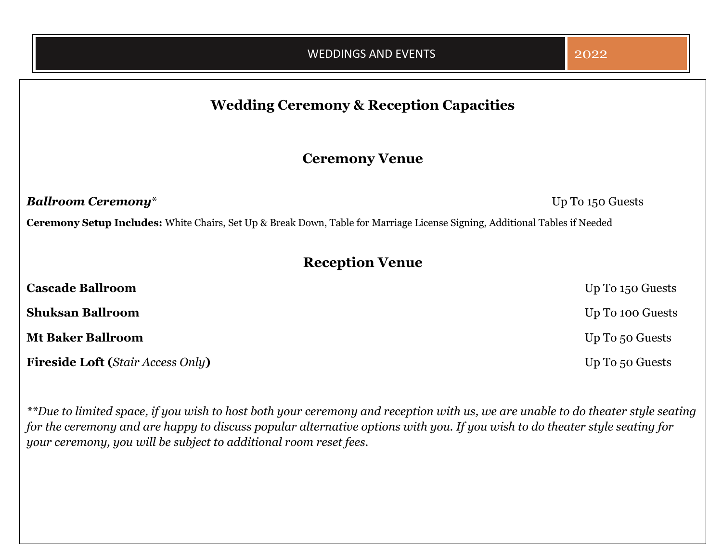# **Wedding Ceremony & Reception Capacities**

# **Ceremony Venue**

*Ballroom Ceremony*\* Up To 150 Guests

**Ceremony Setup Includes:** White Chairs, Set Up & Break Down, Table for Marriage License Signing, Additional Tables if Needed

# **Reception Venue**

| <b>Cascade Ballroom</b>                  | Up To 150 Guests |
|------------------------------------------|------------------|
| <b>Shuksan Ballroom</b>                  | Up To 100 Guests |
| <b>Mt Baker Ballroom</b>                 | Up To 50 Guests  |
| <b>Fireside Loft (Stair Access Only)</b> | Up To 50 Guests  |

*\*\*Due to limited space, if you wish to host both your ceremony and reception with us, we are unable to do theater style seating for the ceremony and are happy to discuss popular alternative options with you. If you wish to do theater style seating for your ceremony, you will be subject to additional room reset fees.*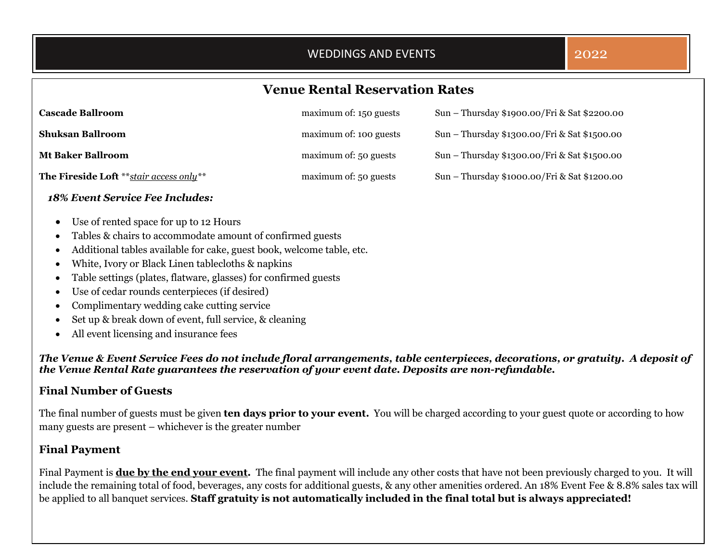## WEDDINGS AND EVENTS **2022**

# **Venue Rental Reservation Rates**

| <b>Cascade Ballroom</b>                   | maximum of: 150 guests | Sun – Thursday \$1900.00/Fri & Sat \$2200.00 |
|-------------------------------------------|------------------------|----------------------------------------------|
| <b>Shuksan Ballroom</b>                   | maximum of: 100 guests | Sun - Thursday \$1300.00/Fri & Sat \$1500.00 |
| <b>Mt Baker Ballroom</b>                  | maximum of: 50 guests  | Sun – Thursday \$1300.00/Fri & Sat \$1500.00 |
| The Fireside Loft ** stair access only ** | maximum of: 50 guests  | Sun – Thursday \$1000.00/Fri & Sat \$1200.00 |

#### *18% Event Service Fee Includes:*

- Use of rented space for up to 12 Hours
- Tables & chairs to accommodate amount of confirmed guests
- Additional tables available for cake, guest book, welcome table, etc.
- White, Ivory or Black Linen tablecloths & napkins
- Table settings (plates, flatware, glasses) for confirmed guests
- Use of cedar rounds centerpieces (if desired)
- Complimentary wedding cake cutting service
- Set up & break down of event, full service, & cleaning
- All event licensing and insurance fees

*The Venue & Event Service Fees do not include floral arrangements, table centerpieces, decorations, or gratuity. A deposit of the Venue Rental Rate guarantees the reservation of your event date. Deposits are non-refundable.*

### **Final Number of Guests**

The final number of guests must be given **ten days prior to your event.** You will be charged according to your guest quote or according to how many guests are present – whichever is the greater number

#### **Final Payment**

Final Payment is **due by the end your event***.* The final payment will include any other costs that have not been previously charged to you. It will include the remaining total of food, beverages, any costs for additional guests, & any other amenities ordered. An 18% Event Fee & 8.8% sales tax will be applied to all banquet services. **Staff gratuity is not automatically included in the final total but is always appreciated!**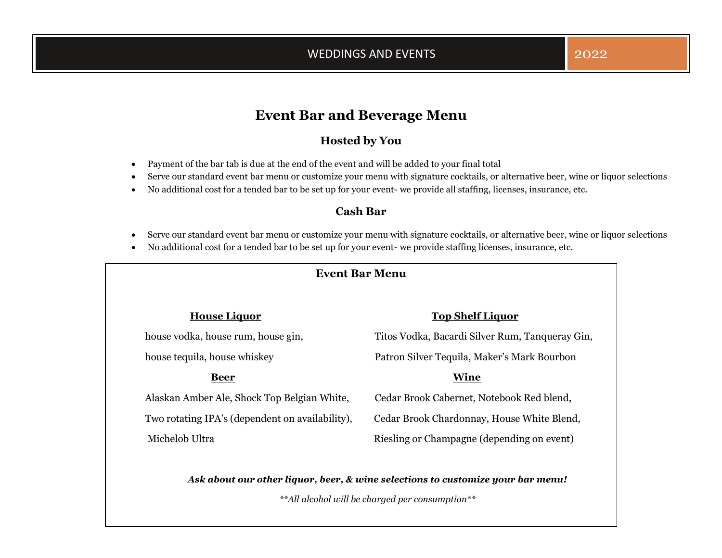# **Event Bar and Beverage Menu**

## **Hosted by You**

- Payment of the bar tab is due at the end of the event and will be added to your final total
- Serve our standard event bar menu or customize your menu with signature cocktails, or alternative beer, wine or liquor selections
- No additional cost for a tended bar to be set up for your event- we provide all staffing, licenses, insurance, etc.

## **Cash Bar**

- Serve our standard event bar menu or customize your menu with signature cocktails, or alternative beer, wine or liquor selections
- No additional cost for a tended bar to be set up for your event- we provide staffing licenses, insurance, etc.

### **Event Bar Menu**

Alaskan Amber Ale, Shock Top Belgian White, Cedar Brook Cabernet, Notebook Red blend, Michelob Ultra **Riesling or Champagne (depending on event)** 

## **House Liquor Top Shelf Liquor**

house vodka, house rum, house gin, Titos Vodka, Bacardi Silver Rum, Tanqueray Gin,

house tequila, house whiskey Patron Silver Tequila, Maker's Mark Bourbon

#### **Beer Wine**

Two rotating IPA's (dependent on availability), Cedar Brook Chardonnay, House White Blend,

*Ask about our other liquor, beer, & wine selections to customize your bar menu!*

*\*\*All alcohol will be charged per consumption\*\**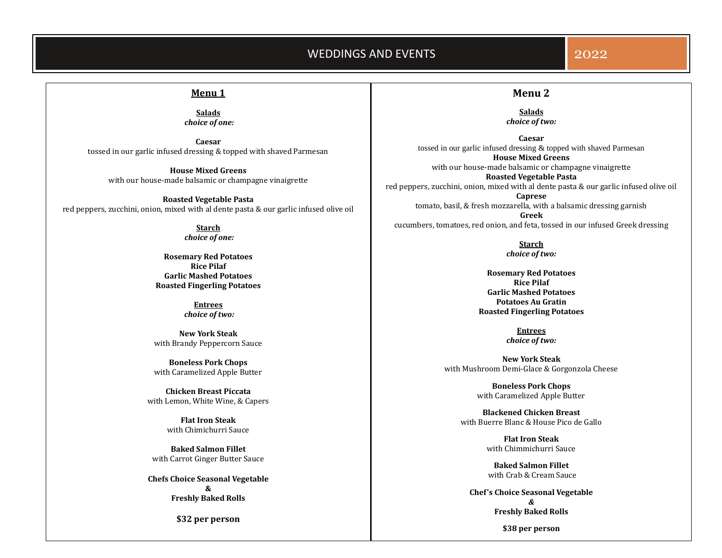#### WEDDINGS AND EVENTS **2022**

#### **Menu 1**

#### **Salads** *choice of one:*

**Caesar** tossed in our garlic infused dressing & topped with shaved Parmesan

**House Mixed Greens** with our house-made balsamic or champagne vinaigrette

**Roasted Vegetable Pasta** red peppers, zucchini, onion, mixed with al dente pasta & our garlic infused olive oil

> **Starch** *choice of one:*

**Rosemary Red Potatoes Rice Pilaf Garlic Mashed Potatoes Roasted Fingerling Potatoes**

> **Entrees** *choice of two:*

**New York Steak** with Brandy Peppercorn Sauce

**Boneless Pork Chops** with Caramelized Apple Butter

**Chicken Breast Piccata** with Lemon, White Wine, & Capers

> **Flat Iron Steak** with Chimichurri Sauce

**Baked Salmon Fillet** with Carrot Ginger Butter Sauce

**Chefs Choice Seasonal Vegetable & Freshly Baked Rolls** 

**\$32 per person**

# **Menu 2**

**Salads** *choice of two:*

**Caesar** tossed in our garlic infused dressing & topped with shaved Parmesan **House Mixed Greens** with our house-made balsamic or champagne vinaigrette **Roasted Vegetable Pasta** red peppers, zucchini, onion, mixed with al dente pasta & our garlic infused olive oil **Caprese** tomato, basil, & fresh mozzarella, with a balsamic dressing garnish

**Greek** cucumbers, tomatoes, red onion, and feta, tossed in our infused Greek dressing

> **Starch** *choice of two:*

**Rosemary Red Potatoes Rice Pilaf Garlic Mashed Potatoes Potatoes Au Gratin Roasted Fingerling Potatoes**

> **Entrees** *choice of two:*

**New York Steak** with Mushroom Demi-Glace & Gorgonzola Cheese

> **Boneless Pork Chops** with Caramelized Apple Butter

**Blackened Chicken Breast**  with Buerre Blanc & House Pico de Gallo

> **Flat Iron Steak** with Chimmichurri Sauce

> **Baked Salmon Fillet** with Crab & Cream Sauce

**Chef's Choice Seasonal Vegetable** *&* **Freshly Baked Rolls** 

**\$38 per person**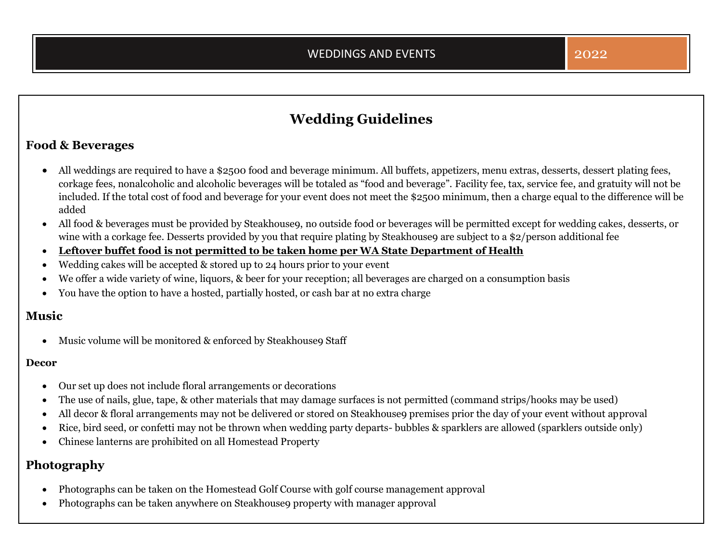# **Wedding Guidelines**

## **Food & Beverages**

- All weddings are required to have a \$2500 food and beverage minimum. All buffets, appetizers, menu extras, desserts, dessert plating fees, corkage fees, nonalcoholic and alcoholic beverages will be totaled as "food and beverage". Facility fee, tax, service fee, and gratuity will not be included. If the total cost of food and beverage for your event does not meet the \$2500 minimum, then a charge equal to the difference will be added
- All food & beverages must be provided by Steakhouse9, no outside food or beverages will be permitted except for wedding cakes, desserts, or wine with a corkage fee. Desserts provided by you that require plating by Steakhouse9 are subject to a \$2/person additional fee
- **Leftover buffet food is not permitted to be taken home per WA State Department of Health**
- Wedding cakes will be accepted & stored up to 24 hours prior to your event
- We offer a wide variety of wine, liquors, & beer for your reception; all beverages are charged on a consumption basis
- You have the option to have a hosted, partially hosted, or cash bar at no extra charge

## **Music**

• Music volume will be monitored & enforced by Steakhouse9 Staff

#### **Decor**

- Our set up does not include floral arrangements or decorations
- The use of nails, glue, tape, & other materials that may damage surfaces is not permitted (command strips/hooks may be used)
- All decor & floral arrangements may not be delivered or stored on Steakhouse9 premises prior the day of your event without approval
- Rice, bird seed, or confetti may not be thrown when wedding party departs- bubbles & sparklers are allowed (sparklers outside only)
- Chinese lanterns are prohibited on all Homestead Property

# **Photography**

- Photographs can be taken on the Homestead Golf Course with golf course management approval
- Photographs can be taken anywhere on Steakhouse9 property with manager approval